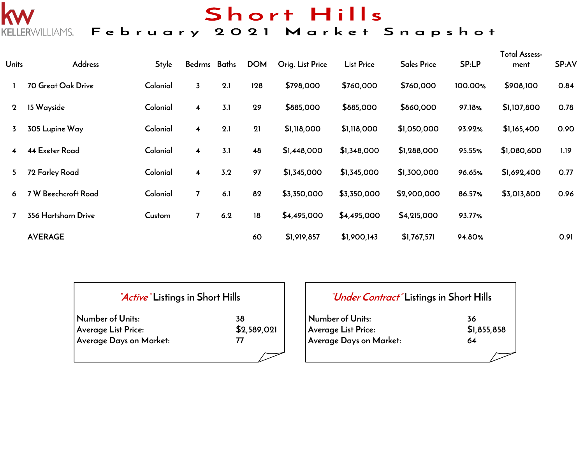# Short Hills

## KELLERWILLIAMS. February 2021 Market Snapshot

| <b>Units</b>   | Address               | <b>Style</b> | Bedrms Baths            |     | <b>DOM</b> | Orig. List Price | <b>List Price</b> | <b>Sales Price</b> | SP:LP   | <b>Total Assess-</b><br>ment | SP:AV |
|----------------|-----------------------|--------------|-------------------------|-----|------------|------------------|-------------------|--------------------|---------|------------------------------|-------|
|                | 70 Great Oak Drive    | Colonial     | $\overline{3}$          | 2.1 | 128        | \$798,000        | \$760,000         | \$760,000          | 100.00% | \$908,100                    | 0.84  |
| $\overline{2}$ | 15 Wayside            | Colonial     | $\overline{\mathbf{4}}$ | 3.1 | 29         | \$885,000        | \$885,000         | \$860,000          | 97.18%  | \$1,107,800                  | 0.78  |
| 3              | 305 Lupine Way        | Colonial     | $\overline{\mathbf{4}}$ | 2.1 | 21         | \$1,118,000      | \$1,118,000       | \$1,050,000        | 93.92%  | \$1,165,400                  | 0.90  |
| $\overline{4}$ | <b>44 Exeter Road</b> | Colonial     | $\overline{\mathbf{4}}$ | 3.1 | 48         | \$1,448,000      | \$1,348,000       | \$1,288,000        | 95.55%  | \$1,080,600                  | 1.19  |
| 5.             | 72 Farley Road        | Colonial     | $\overline{\mathbf{4}}$ | 3.2 | 97         | \$1,345,000      | \$1,345,000       | \$1,300,000        | 96.65%  | \$1,692,400                  | 0.77  |
| 6              | 7 W Beechcroft Road   | Colonial     | $\overline{7}$          | 6.1 | 82         | \$3,350,000      | \$3,350,000       | \$2,900,000        | 86.57%  | \$3,013,800                  | 0.96  |
|                | 356 Hartshorn Drive   | Custom       | $\overline{7}$          | 6.2 | 18         | \$4,495,000      | \$4,495,000       | \$4,215,000        | 93.77%  |                              |       |
|                | <b>AVERAGE</b>        |              |                         |     | 60         | \$1,919,857      | \$1,900,143       | \$1,767,571        | 94.80%  |                              | 0.91  |

| "Active" Listings in Short Hills |             |  |  |  |  |  |  |
|----------------------------------|-------------|--|--|--|--|--|--|
| Number of Units:                 | 38          |  |  |  |  |  |  |
| Average List Price:              | \$2,589,021 |  |  |  |  |  |  |
| Average Days on Market:          | 77          |  |  |  |  |  |  |
|                                  |             |  |  |  |  |  |  |

k

| <i>"Under Contract"</i> Listings in Short Hills |             |
|-------------------------------------------------|-------------|
| Number of Units:                                | 36          |
| Average List Price:                             | \$1,855,858 |
| Average Days on Market:                         | 64          |
|                                                 |             |